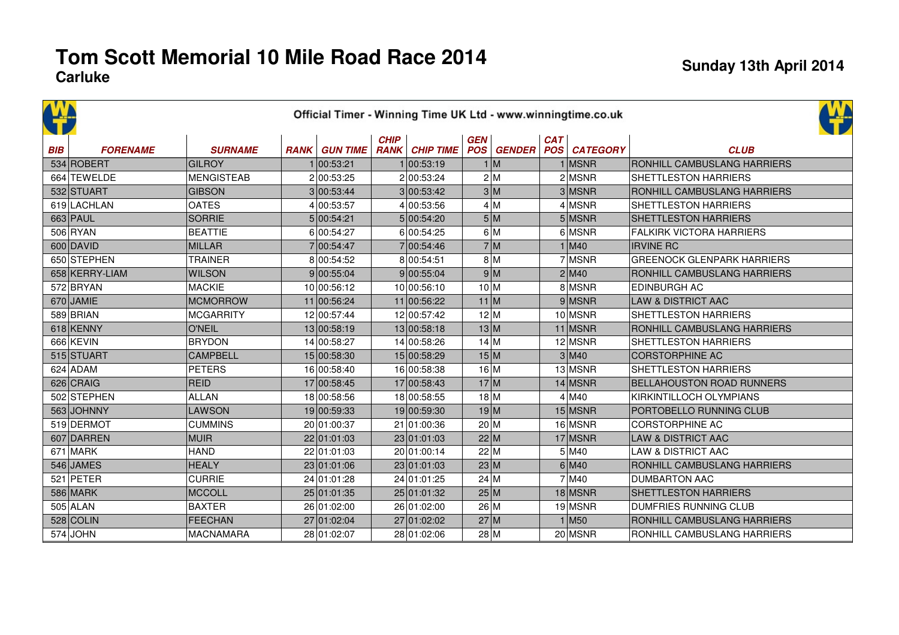|            | Official Timer - Winning Time UK Ltd - www.winningtime.co.uk |                   |  |                      |             |                       |            |     |            |                                |                                   |  |  |  |
|------------|--------------------------------------------------------------|-------------------|--|----------------------|-------------|-----------------------|------------|-----|------------|--------------------------------|-----------------------------------|--|--|--|
| <b>BIB</b> | <b>FORENAME</b>                                              | <b>SURNAME</b>    |  | <b>RANK GUN TIME</b> | <b>CHIP</b> | <b>RANK CHIP TIME</b> | <b>GEN</b> |     | <b>CAT</b> | <b>POS GENDER POS CATEGORY</b> | <b>CLUB</b>                       |  |  |  |
|            | 534 ROBERT                                                   | <b>GILROY</b>     |  | 1 00:53:21           |             | 1 00:53:19            |            | 1 M |            | $1$ MSNR                       | RONHILL CAMBUSLANG HARRIERS       |  |  |  |
|            | 664 TEWELDE                                                  | <b>MENGISTEAB</b> |  | 2 00:53:25           |             | 2 00:53:24            |            | 2 M |            | $2$ MSNR                       | SHETTLESTON HARRIERS              |  |  |  |
|            | 532 STUART                                                   | <b>GIBSON</b>     |  | 3 00:53:44           |             | 3 00:53:42            |            | 3 M |            | 3 MSNR                         | RONHILL CAMBUSLANG HARRIERS       |  |  |  |
|            | 619 LACHLAN                                                  | <b>OATES</b>      |  | 4 00:53:57           |             | 4 00:53:56            |            | 4 M |            | $4$ MSNR                       | <b>SHETTLESTON HARRIERS</b>       |  |  |  |
|            | 663 PAUL                                                     | <b>SORRIE</b>     |  | 5 00:54:21           |             | 5 00:54:20            |            | 5 M |            | $5$ MSNR                       | <b>SHETTLESTON HARRIERS</b>       |  |  |  |
|            | 506 RYAN                                                     | <b>BEATTIE</b>    |  | 6 00:54:27           |             | 6 00:54:25            |            | 6 M |            | 6 MSNR                         | <b>FALKIRK VICTORA HARRIERS</b>   |  |  |  |
|            | 600 DAVID                                                    | <b>MILLAR</b>     |  | 7 00:54:47           |             | 7 00:54:46            |            | 7 M |            | 1 M40                          | <b>IRVINE RC</b>                  |  |  |  |
|            | 650 STEPHEN                                                  | <b>TRAINER</b>    |  | 8 00:54:52           |             | 8 00:54:51            |            | 8 M |            | 7 MSNR                         | <b>GREENOCK GLENPARK HARRIERS</b> |  |  |  |
|            | 658 KERRY-LIAM                                               | <b>WILSON</b>     |  | 9 00:55:04           |             | 9 00:55:04            |            | 9 M |            | 2 M40                          | RONHILL CAMBUSLANG HARRIERS       |  |  |  |
|            | 572 BRYAN                                                    | <b>MACKIE</b>     |  | 10 00:56:12          |             | 10 00:56:10           | 10 M       |     |            | 8 MSNR                         | <b>EDINBURGH AC</b>               |  |  |  |
|            | $670$ JAMIE                                                  | <b>MCMORROW</b>   |  | 11 00:56:24          |             | 11 00:56:22           | $11$ M     |     |            | 9 MSNR                         | LAW & DISTRICT AAC                |  |  |  |
|            | 589 BRIAN                                                    | <b>MCGARRITY</b>  |  | 12 00:57:44          |             | 12 00:57:42           | 12 M       |     |            | $10$ MSNR                      | SHETTLESTON HARRIERS              |  |  |  |
|            | 618 KENNY                                                    | <b>O'NEIL</b>     |  | 13 00:58:19          |             | 13 00:58:18           | 13 M       |     |            | $11$ MSNR                      | RONHILL CAMBUSLANG HARRIERS       |  |  |  |
|            | 666 KEVIN                                                    | <b>BRYDON</b>     |  | 14 00:58:27          |             | 14 00:58:26           | 14 M       |     |            | $12$ MSNR                      | <b>SHETTLESTON HARRIERS</b>       |  |  |  |
|            | 515 STUART                                                   | <b>CAMPBELL</b>   |  | 15 00:58:30          |             | 15 00:58:29           | 15 M       |     |            | 3 M40                          | <b>CORSTORPHINE AC</b>            |  |  |  |
|            | $624$ ADAM                                                   | <b>PETERS</b>     |  | 16 00:58:40          |             | 16 00:58:38           | 16 M       |     |            | $13$ MSNR                      | SHETTLESTON HARRIERS              |  |  |  |
|            | 626 CRAIG                                                    | <b>REID</b>       |  | 17 00:58:45          |             | 17 00:58:43           | 17 M       |     |            | $14$ MSNR                      | <b>BELLAHOUSTON ROAD RUNNERS</b>  |  |  |  |
|            | 502 STEPHEN                                                  | <b>ALLAN</b>      |  | 18 00:58:56          |             | 18 00:58:55           | 18 M       |     |            | 4 M40                          | KIRKINTILLOCH OLYMPIANS           |  |  |  |
|            | 563 JOHNNY                                                   | <b>LAWSON</b>     |  | 19 00:59:33          |             | 19 00:59:30           | 19 M       |     |            | $15$ MSNR                      | PORTOBELLO RUNNING CLUB           |  |  |  |
|            | 519 DERMOT                                                   | <b>CUMMINS</b>    |  | 20 01:00:37          |             | 21 01:00:36           | 20 M       |     |            | 16 MSNR                        | <b>CORSTORPHINE AC</b>            |  |  |  |
|            | 607 DARREN                                                   | <b>MUIR</b>       |  | 22 01:01:03          |             | 23 01:01:03           | 22 M       |     |            | $17$ MSNR                      | <b>LAW &amp; DISTRICT AAC</b>     |  |  |  |
|            | $671$ MARK                                                   | <b>HAND</b>       |  | 22 01:01:03          |             | 20 01:00:14           | 22 M       |     |            | $5$ M <sub>40</sub>            | <b>LAW &amp; DISTRICT AAC</b>     |  |  |  |
|            | 546 JAMES                                                    | <b>HEALY</b>      |  | 23 01:01:06          |             | 23 01:01:03           | 23 M       |     |            | 6 M40                          | RONHILL CAMBUSLANG HARRIERS       |  |  |  |
|            | 521 PETER                                                    | <b>CURRIE</b>     |  | 24 01:01:28          |             | 24 01:01:25           | 24 M       |     |            | 7 M <sub>40</sub>              | <b>DUMBARTON AAC</b>              |  |  |  |
|            | 586 MARK                                                     | <b>MCCOLL</b>     |  | 25 01:01:35          |             | 25 01:01:32           | 25 M       |     |            | $18$ MSNR                      | <b>SHETTLESTON HARRIERS</b>       |  |  |  |
|            | $505$ ALAN                                                   | <b>BAXTER</b>     |  | 26 01:02:00          |             | 26 01:02:00           | 26 M       |     |            | $19$ MSNR                      | <b>DUMFRIES RUNNING CLUB</b>      |  |  |  |
|            | $528$ COLIN                                                  | <b>FEECHAN</b>    |  | 27 01:02:04          |             | 27 01:02:02           | 27 M       |     |            | $1$ M <sub>50</sub>            | RONHILL CAMBUSLANG HARRIERS       |  |  |  |
|            | $574$ JOHN                                                   | <b>MACNAMARA</b>  |  | 28 01:02:07          |             | 28 01:02:06           | 28 M       |     |            | $20$ MSNR                      | RONHILL CAMBUSLANG HARRIERS       |  |  |  |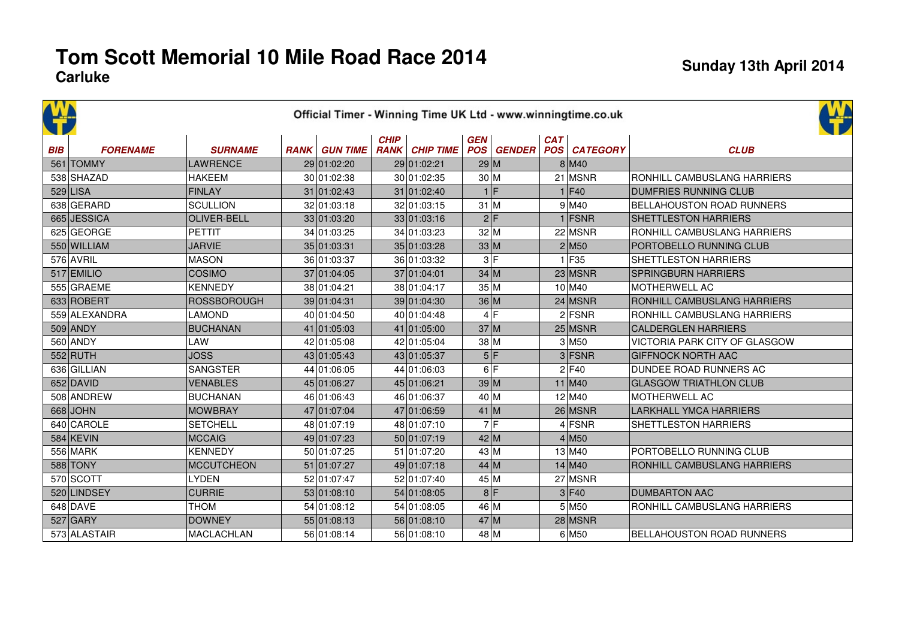| <b>BIB</b> | <b>FORENAME</b> | <b>SURNAME</b>     | <b>RANK GUN TIME</b> | <b>CHIP</b> | <b>RANK CHIP TIME</b> | GEN<br><b>POS</b> | <b>GENDER</b> | <b>CAT</b> | <b>POS CATEGORY</b>  | <b>CLUB</b>                          |  |
|------------|-----------------|--------------------|----------------------|-------------|-----------------------|-------------------|---------------|------------|----------------------|--------------------------------------|--|
|            | 561 TOMMY       | <b>LAWRENCE</b>    | 29 01:02:20          |             | 29 01:02:21           | 29 M              |               |            | 8 M40                |                                      |  |
|            | 538 SHAZAD      | <b>HAKEEM</b>      | 30 01:02:38          |             | 30 01:02:35           | 30 M              |               |            | $21$ MSNR            | RONHILL CAMBUSLANG HARRIERS          |  |
|            | $529$ LISA      | <b>FINLAY</b>      | 31 01:02:43          |             | 31 01:02:40           | 1 F               |               |            | 1 F40                | <b>DUMFRIES RUNNING CLUB</b>         |  |
|            | 638 GERARD      | <b>SCULLION</b>    | 32 01:03:18          |             | 32 01:03:15           | $31$ M            |               |            | 9 M40                | <b>BELLAHOUSTON ROAD RUNNERS</b>     |  |
|            | 665 JESSICA     | <b>OLIVER-BELL</b> | 33 01:03:20          |             | 33 01:03:16           | 2 F               |               |            | $1$ FSNR             | SHETTLESTON HARRIERS                 |  |
|            | 625 GEORGE      | <b>PETTIT</b>      | 34 01:03:25          |             | 34 01:03:23           | 32 M              |               |            | 22 MSNR              | RONHILL CAMBUSLANG HARRIERS          |  |
|            | 550 WILLIAM     | <b>JARVIE</b>      | 35 01:03:31          |             | 35 01:03:28           | 33 M              |               |            | $2$ M <sub>50</sub>  | PORTOBELLO RUNNING CLUB              |  |
|            | $576$ AVRIL     | <b>MASON</b>       | 36 01:03:37          |             | 36 01:03:32           | 3 F               |               |            | $1$ F <sub>35</sub>  | SHETTLESTON HARRIERS                 |  |
|            | $517$ EMILIO    | <b>COSIMO</b>      | 37 01:04:05          |             | 37 01:04:01           | 34 M              |               |            | $23$ MSNR            | <b>SPRINGBURN HARRIERS</b>           |  |
|            | 555 GRAEME      | <b>KENNEDY</b>     | 38 01:04:21          |             | 38 01:04:17           | 35 M              |               |            | $10$ M40             | MOTHERWELL AC                        |  |
|            | 633 ROBERT      | <b>ROSSBOROUGH</b> | 39 01:04:31          |             | 39 01:04:30           | 36 M              |               |            | $24$ MSNR            | RONHILL CAMBUSLANG HARRIERS          |  |
|            | 559 ALEXANDRA   | <b>LAMOND</b>      | 40 01:04:50          |             | 40 01:04:48           | 4 F               |               |            | $2$ FSNR             | RONHILL CAMBUSLANG HARRIERS          |  |
|            | $509$ ANDY      | <b>BUCHANAN</b>    | 41 01:05:03          |             | 41 01:05:00           | 37 M              |               |            | $25$ MSNR            | <b>CALDERGLEN HARRIERS</b>           |  |
|            | 560 ANDY        | LAW                | 42 01:05:08          |             | 42 01:05:04           | 38 M              |               |            | $3$ M <sub>50</sub>  | <b>VICTORIA PARK CITY OF GLASGOW</b> |  |
|            | $552$ RUTH      | <b>JOSS</b>        | 43 01:05:43          |             | 43 01:05:37           | 5 F               |               |            | $3$ FSNR             | <b>GIFFNOCK NORTH AAC</b>            |  |
|            | 636 GILLIAN     | <b>SANGSTER</b>    | 44 01:06:05          |             | 44 01:06:03           | 6 F               |               |            | $2$ F40              | DUNDEE ROAD RUNNERS AC               |  |
|            | 652 DAVID       | <b>VENABLES</b>    | 45 01:06:27          |             | 45 01:06:21           | 39 M              |               |            | $11$ M <sub>40</sub> | <b>GLASGOW TRIATHLON CLUB</b>        |  |
|            | 508 ANDREW      | <b>BUCHANAN</b>    | 46 01:06:43          |             | 46 01:06:37           | 40 M              |               |            | $12$ M <sub>40</sub> | MOTHERWELL AC                        |  |
|            | $668$ JOHN      | <b>MOWBRAY</b>     | 47 01:07:04          |             | 47 01:06:59           | $41$ M            |               |            | $26$ MSNR            | <b>LARKHALL YMCA HARRIERS</b>        |  |
|            | 640 CAROLE      | <b>SETCHELL</b>    | 48 01:07:19          |             | 48 01:07:10           | 7 F               |               |            | $4$ FSNR             | SHETTLESTON HARRIERS                 |  |
|            | $584$ KEVIN     | <b>MCCAIG</b>      | 49 01:07:23          |             | 50 01:07:19           | 42 M              |               |            | $4$ M <sub>50</sub>  |                                      |  |
|            | 556 MARK        | <b>KENNEDY</b>     | 50 01:07:25          |             | 51 01:07:20           | 43 M              |               |            | $13$ M40             | PORTOBELLO RUNNING CLUB              |  |
|            | 588 TONY        | <b>MCCUTCHEON</b>  | 51 01:07:27          |             | 49 01:07:18           | 44 M              |               |            | $14 \, \text{M}40$   | RONHILL CAMBUSLANG HARRIERS          |  |
|            | 570 SCOTT       | <b>LYDEN</b>       | 52 01:07:47          |             | 52 01:07:40           | 45 M              |               |            | 27 MSNR              |                                      |  |
|            | 520 LINDSEY     | <b>CURRIE</b>      | 53 01:08:10          |             | 54 01:08:05           | 8 F               |               |            | 3 F40                | <b>DUMBARTON AAC</b>                 |  |
|            | $648$ DAVE      | <b>THOM</b>        | 54 01:08:12          |             | 54 01:08:05           | 46 M              |               |            | $5$ M <sub>50</sub>  | RONHILL CAMBUSLANG HARRIERS          |  |
|            | $527$ GARY      | <b>DOWNEY</b>      | 55 01:08:13          |             | 56 01:08:10           | 47 M              |               |            | $28$ MSNR            |                                      |  |
|            | 573 ALASTAIR    | <b>MACLACHLAN</b>  | 56 01:08:14          |             | 56 01:08:10           | 48 M              |               |            | $6$ M <sub>50</sub>  | <b>BELLAHOUSTON ROAD RUNNERS</b>     |  |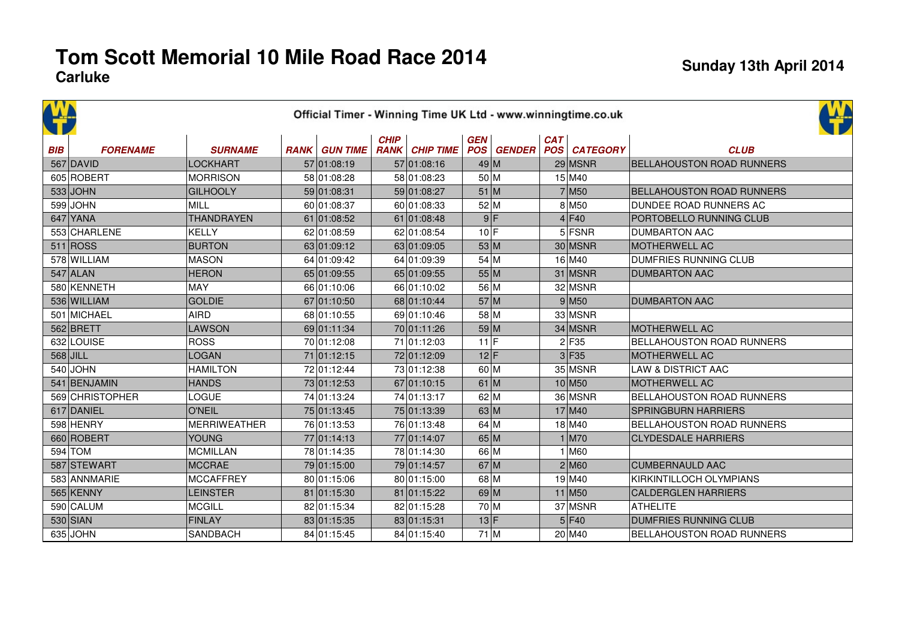|            | Official Timer - Winning Time UK Ltd - www.winningtime.co.uk |                     |  |                      |             |                       |            |  |            |                                |                                  |  |  |  |  |
|------------|--------------------------------------------------------------|---------------------|--|----------------------|-------------|-----------------------|------------|--|------------|--------------------------------|----------------------------------|--|--|--|--|
| <b>BIB</b> | <b>FORENAME</b>                                              | <b>SURNAME</b>      |  | <b>RANK GUN TIME</b> | <b>CHIP</b> | <b>RANK CHIP TIME</b> | <b>GEN</b> |  | <b>CAT</b> | <b>POS GENDER POS CATEGORY</b> | <b>CLUB</b>                      |  |  |  |  |
|            | $567$ DAVID                                                  | <b>LOCKHART</b>     |  | 57 01:08:19          |             | 57 01:08:16           | 49 M       |  |            | $29$ MSNR                      | <b>BELLAHOUSTON ROAD RUNNERS</b> |  |  |  |  |
|            | 605 ROBERT                                                   | <b>MORRISON</b>     |  | 58 01:08:28          |             | 58 01:08:23           | 50 M       |  |            | 15 M40                         |                                  |  |  |  |  |
|            | $533$ JOHN                                                   | <b>GILHOOLY</b>     |  | 59 01:08:31          |             | 59 01:08:27           | 51 M       |  |            | $7$ M <sub>50</sub>            | <b>BELLAHOUSTON ROAD RUNNERS</b> |  |  |  |  |
|            | $599$ JOHN                                                   | <b>MILL</b>         |  | 60 01:08:37          |             | 60 01:08:33           | 52 M       |  |            | $8$ M <sub>50</sub>            | DUNDEE ROAD RUNNERS AC           |  |  |  |  |
|            | $647$ YANA                                                   | <b>THANDRAYEN</b>   |  | 61 01:08:52          |             | 61 01:08:48           | 9 F        |  |            | $4$ F40                        | PORTOBELLO RUNNING CLUB          |  |  |  |  |
|            | 553 CHARLENE                                                 | <b>KELLY</b>        |  | 62 01:08:59          |             | 62 01:08:54           | $10$ F     |  |            | $5$ FSNR                       | <b>DUMBARTON AAC</b>             |  |  |  |  |
|            | 511 ROS                                                      | <b>BURTON</b>       |  | 63 01:09:12          |             | 63 01:09:05           | 53 M       |  |            | 30 MSNR                        | <b>MOTHERWELL AC</b>             |  |  |  |  |
|            | 578 WILLIAM                                                  | <b>MASON</b>        |  | 64 01:09:42          |             | 64 01:09:39           | 54 M       |  |            | $16$ M40                       | <b>DUMFRIES RUNNING CLUB</b>     |  |  |  |  |
|            | $547$ ALAN                                                   | <b>HERON</b>        |  | 65 01:09:55          |             | 65 01:09:55           | 55 M       |  |            | 31 MSNR                        | <b>DUMBARTON AAC</b>             |  |  |  |  |
|            | 580 KENNETH                                                  | <b>MAY</b>          |  | 66 01:10:06          |             | 66 01:10:02           | 56 M       |  |            | 32 MSNR                        |                                  |  |  |  |  |
|            | 536 WILLIAM                                                  | <b>GOLDIE</b>       |  | 67 01:10:50          |             | 68 01:10:44           | 57 M       |  |            | 9 M50                          | <b>DUMBARTON AAC</b>             |  |  |  |  |
|            | 501 MICHAEL                                                  | <b>AIRD</b>         |  | 68 01:10:55          |             | 69 01:10:46           | 58 M       |  |            | 33 MSNR                        |                                  |  |  |  |  |
|            | 562 BRETT                                                    | <b>LAWSON</b>       |  | 69 01:11:34          |             | 70 01:11:26           | 59 M       |  |            | 34 MSNR                        | <b>MOTHERWELL AC</b>             |  |  |  |  |
|            | 632 LOUISE                                                   | <b>ROSS</b>         |  | 70 01:12:08          |             | 71 01:12:03           | $11$ F     |  |            | $2$ F35                        | <b>BELLAHOUSTON ROAD RUNNERS</b> |  |  |  |  |
|            | $568$ JILL                                                   | <b>LOGAN</b>        |  | 71 01:12:15          |             | 72 01:12:09           | 12 F       |  |            | $3$ F <sub>35</sub>            | <b>MOTHERWELL AC</b>             |  |  |  |  |
|            | $540$ JOHN                                                   | <b>HAMILTON</b>     |  | 72 01:12:44          |             | 73 01:12:38           | 60 M       |  |            | 35 MSNR                        | <b>LAW &amp; DISTRICT AAC</b>    |  |  |  |  |
|            | 541 BENJAMIN                                                 | <b>HANDS</b>        |  | 73 01:12:53          |             | 67 01:10:15           | $61$ M     |  |            | $10$ M <sub>50</sub>           | <b>MOTHERWELL AC</b>             |  |  |  |  |
|            | 569 CHRISTOPHER                                              | LOGUE               |  | 74 01:13:24          |             | 74 01:13:17           | 62 M       |  |            | 36 MSNR                        | BELLAHOUSTON ROAD RUNNERS        |  |  |  |  |
|            | 617 DANIEL                                                   | <b>O'NEIL</b>       |  | 75 01:13:45          |             | 75 01:13:39           | 63 M       |  |            | $17$ M <sub>40</sub>           | <b>SPRINGBURN HARRIERS</b>       |  |  |  |  |
|            | 598 HENRY                                                    | <b>MERRIWEATHER</b> |  | 76 01:13:53          |             | 76 01:13:48           | $64$ M     |  |            | $18$ M40                       | <b>BELLAHOUSTON ROAD RUNNERS</b> |  |  |  |  |
|            | 660 ROBERT                                                   | <b>YOUNG</b>        |  | 77 01:14:13          |             | 77 01:14:07           | 65 M       |  |            | $1$ M70                        | <b>CLYDESDALE HARRIERS</b>       |  |  |  |  |
|            | $594$ TOM                                                    | <b>MCMILLAN</b>     |  | 78 01:14:35          |             | 78 01:14:30           | 66 M       |  |            | $1$ M60                        |                                  |  |  |  |  |
|            | 587 STEWART                                                  | <b>MCCRAE</b>       |  | 79 01:15:00          |             | 79 01:14:57           | $67$ M     |  |            | 2 M60                          | <b>CUMBERNAULD AAC</b>           |  |  |  |  |
|            | 583 ANNMARIE                                                 | <b>MCCAFFREY</b>    |  | 80 01:15:06          |             | 80 01:15:00           | 68 M       |  |            | $19$ M40                       | KIRKINTILLOCH OLYMPIANS          |  |  |  |  |
|            | 565 KENNY                                                    | <b>LEINSTER</b>     |  | 81 01:15:30          |             | 81 01:15:22           | 69 M       |  |            | $11$ M <sub>50</sub>           | <b>CALDERGLEN HARRIERS</b>       |  |  |  |  |
|            | 590 CALUM                                                    | <b>MCGILL</b>       |  | 82 01:15:34          |             | 82 01:15:28           | 70 M       |  |            | 37 MSNR                        | <b>ATHELITE</b>                  |  |  |  |  |
|            | $530$ SIAN                                                   | <b>FINLAY</b>       |  | 83 01:15:35          |             | 83 01:15:31           | 13 F       |  |            | $5$ F40                        | <b>DUMFRIES RUNNING CLUB</b>     |  |  |  |  |
|            | 635 JOHN                                                     | <b>SANDBACH</b>     |  | 84 01:15:45          |             | 84 01:15:40           | $71$ M     |  |            | 20 M40                         | <b>BELLAHOUSTON ROAD RUNNERS</b> |  |  |  |  |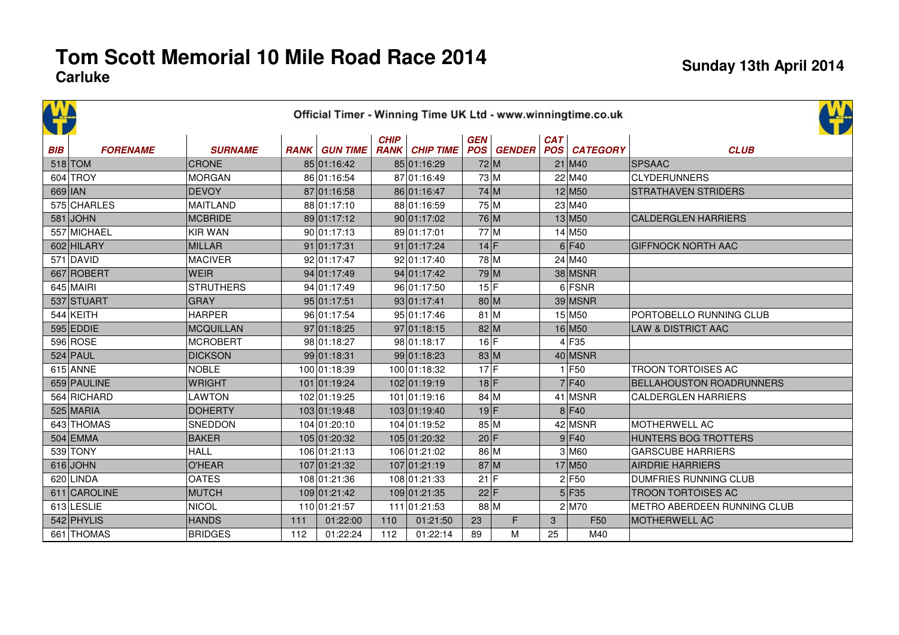|            | Official Timer - Winning Time UK Ltd - www.winningtime.co.uk |                  |     |                      |             |                       |            |                   |     |                      |                                 |  |  |  |  |
|------------|--------------------------------------------------------------|------------------|-----|----------------------|-------------|-----------------------|------------|-------------------|-----|----------------------|---------------------------------|--|--|--|--|
| <b>BIB</b> | <b>FORENAME</b>                                              | <b>SURNAME</b>   |     | <b>RANK GUN TIME</b> | <b>CHIP</b> | <b>RANK CHIP TIME</b> | <b>GEN</b> | <b>POS</b> GENDER | CAT | <b>POS CATEGORY</b>  | <b>CLUB</b>                     |  |  |  |  |
|            | $518$ TOM                                                    | <b>CRONE</b>     |     | 85 01:16:42          |             | 85 01:16:29           | 72 M       |                   |     | $21$ M40             | <b>SPSAAC</b>                   |  |  |  |  |
|            | $604$ TROY                                                   | <b>MORGAN</b>    |     | 86 01:16:54          |             | 87 01:16:49           | 73 M       |                   |     | 22 M40               | <b>CLYDERUNNERS</b>             |  |  |  |  |
| 669 IAN    |                                                              | <b>DEVOY</b>     |     | 87 01:16:58          |             | 86 01:16:47           | 74 M       |                   |     | $12$ M <sub>50</sub> | <b>STRATHAVEN STRIDERS</b>      |  |  |  |  |
|            | 575 CHARLES                                                  | <b>MAITLAND</b>  |     | 88 01:17:10          |             | 88 01:16:59           | 75 M       |                   |     | 23 M40               |                                 |  |  |  |  |
|            | $581$ JOHN                                                   | <b>MCBRIDE</b>   |     | 89 01:17:12          |             | 90 01:17:02           | 76 M       |                   |     | $13$ M <sub>50</sub> | <b>CALDERGLEN HARRIERS</b>      |  |  |  |  |
|            | 557 MICHAEL                                                  | <b>KIR WAN</b>   |     | 90 01:17:13          |             | 89 01:17:01           | 77 M       |                   |     | $14$ M <sub>50</sub> |                                 |  |  |  |  |
|            | 602 HILARY                                                   | MILLAR           |     | 91 01:17:31          |             | 91 01:17:24           | $14$ F     |                   |     | $6$ F40              | <b>GIFFNOCK NORTH AAC</b>       |  |  |  |  |
|            | $571$ DAVID                                                  | <b>MACIVER</b>   |     | 92 01:17:47          |             | 92 01:17:40           | 78 M       |                   |     | 24 M40               |                                 |  |  |  |  |
|            | 667 ROBERT                                                   | <b>WEIR</b>      |     | 94 01:17:49          |             | 94 01:17:42           | 79 M       |                   |     | 38 MSNR              |                                 |  |  |  |  |
|            | $645$ MAIRI                                                  | <b>STRUTHERS</b> |     | 94 01:17:49          |             | 96 01:17:50           | 15 F       |                   |     | $6$ FSNR             |                                 |  |  |  |  |
|            | 537 STUART                                                   | <b>GRAY</b>      |     | 95 01:17:51          |             | 93 01:17:41           | 80 M       |                   |     | $39$ MSNR            |                                 |  |  |  |  |
|            | $544$ KEITH                                                  | <b>HARPER</b>    |     | 96 01:17:54          |             | 95 01:17:46           | $81$ M     |                   |     | 15 M50               | PORTOBELLO RUNNING CLUB         |  |  |  |  |
|            | $595$ EDDIE                                                  | <b>MCQUILLAN</b> |     | 97 01:18:25          |             | 97 01:18:15           | 82 M       |                   |     | $16$ M <sub>50</sub> | LAW & DISTRICT AAC              |  |  |  |  |
|            | 596 ROSE                                                     | <b>MCROBERT</b>  |     | 98 01:18:27          |             | 98 01:18:17           | 16 F       |                   |     | $4$ F <sub>35</sub>  |                                 |  |  |  |  |
|            | $524$ PAUL                                                   | <b>DICKSON</b>   |     | 99 01:18:31          |             | 99 01:18:23           | 83 M       |                   |     | $40$ MSNR            |                                 |  |  |  |  |
|            | $615$ ANNE                                                   | <b>NOBLE</b>     |     | 100 01:18:39         |             | 100 01:18:32          | $17$ F     |                   |     | $1$ F <sub>50</sub>  | <b>TROON TORTOISES AC</b>       |  |  |  |  |
|            | 659 PAULINE                                                  | <b>WRIGHT</b>    |     | 101 01:19:24         |             | 102 01:19:19          | $18$ F     |                   |     | $7$ F40              | <b>BELLAHOUSTON ROADRUNNERS</b> |  |  |  |  |
|            | 564 RICHARD                                                  | <b>LAWTON</b>    |     | 102 01:19:25         |             | 101 01:19:16          | 84 M       |                   |     | 41 MSNR              | <b>CALDERGLEN HARRIERS</b>      |  |  |  |  |
|            | $525$ MARIA                                                  | <b>DOHERTY</b>   |     | 103 01:19:48         |             | 103 01:19:40          | 19 F       |                   |     | 8 F40                |                                 |  |  |  |  |
|            | 643 THOMAS                                                   | <b>SNEDDON</b>   |     | 104 01:20:10         |             | 104 01:19:52          | 85 M       |                   |     | 42 MSNR              | MOTHERWELL AC                   |  |  |  |  |
|            | $504$ EMMA                                                   | <b>BAKER</b>     |     | 105 01:20:32         |             | 105 01:20:32          | 20 F       |                   |     | $9$ F40              | HUNTERS BOG TROTTERS            |  |  |  |  |
|            | 539 TONY                                                     | <b>HALL</b>      |     | 106 01:21:13         |             | 106 01:21:02          | 86 M       |                   |     | $3$ M <sub>60</sub>  | <b>GARSCUBE HARRIERS</b>        |  |  |  |  |
|            | $616$ JOHN                                                   | O'HEAR           |     | 107 01:21:32         |             | 107 01:21:19          | 87 M       |                   |     | $17$ M <sub>50</sub> | <b>AIRDRIE HARRIERS</b>         |  |  |  |  |
|            | 620 LINDA                                                    | <b>OATES</b>     |     | 108 01:21:36         |             | 108 01:21:33          | 21 F       |                   |     | 2 F50                | DUMFRIES RUNNING CLUB           |  |  |  |  |
|            | 611 CAROLINE                                                 | MUTCH            |     | 109 01:21:42         |             | 109 01:21:35          | 22 F       |                   |     | $5$ F35              | <b>TROON TORTOISES AC</b>       |  |  |  |  |
|            | 613 LESLIE                                                   | NICOL            |     | 110 01:21:57         |             | 111 01:21:53          | 88 M       |                   |     | $2$ M70              | METRO ABERDEEN RUNNING CLUB     |  |  |  |  |
|            | 542 PHYLIS                                                   | <b>HANDS</b>     | 111 | 01:22:00             | 110         | 01:21:50              | 23         | F                 | 3   | F <sub>50</sub>      | <b>MOTHERWELL AC</b>            |  |  |  |  |
|            | 661 THOMAS                                                   | <b>BRIDGES</b>   | 112 | 01:22:24             | 112         | 01:22:14              | 89         | M                 | 25  | M40                  |                                 |  |  |  |  |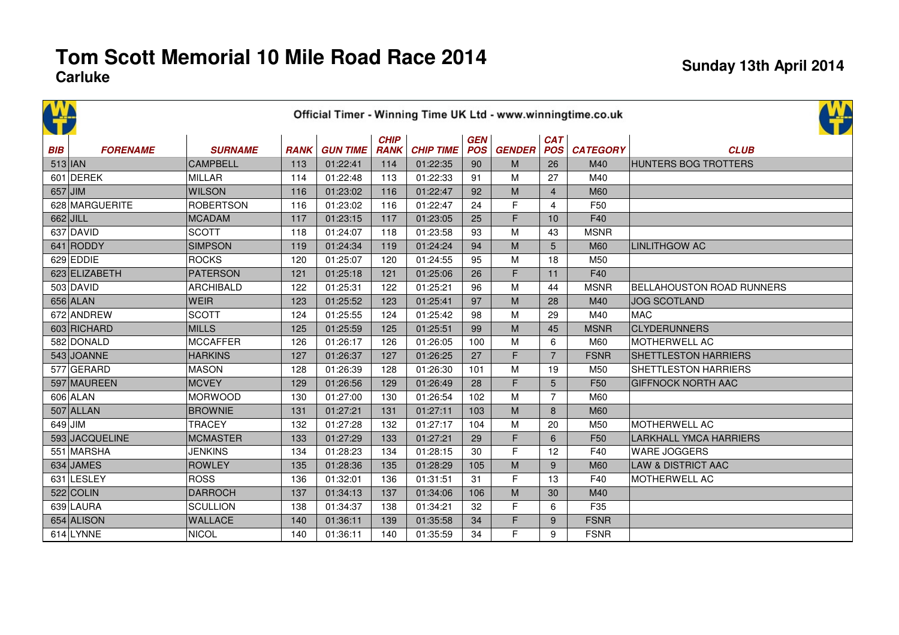| <b>CAP</b> |                 |                  |             |                 |                            |                  |                   |               |                          |                 |                                  |
|------------|-----------------|------------------|-------------|-----------------|----------------------------|------------------|-------------------|---------------|--------------------------|-----------------|----------------------------------|
| <b>BIB</b> | <b>FORENAME</b> | <b>SURNAME</b>   | <b>RANK</b> | <b>GUN TIME</b> | <b>CHIP</b><br><b>RANK</b> | <b>CHIP TIME</b> | GEN<br><b>POS</b> | <b>GENDER</b> | <b>CAT</b><br><b>POS</b> | <b>CATEGORY</b> | <b>CLUB</b>                      |
|            | $513$  JAN      | <b>CAMPBELL</b>  | 113         | 01:22:41        | 114                        | 01:22:35         | 90                | M             | 26                       | M40             | <b>HUNTERS BOG TROTTERS</b>      |
|            | 601 DEREK       | <b>MILLAR</b>    | 114         | 01:22:48        | 113                        | 01:22:33         | 91                | M             | 27                       | M40             |                                  |
|            | $657$ JIM       | <b>WILSON</b>    | 116         | 01:23:02        | 116                        | 01:22:47         | 92                | M             | $\overline{4}$           | M60             |                                  |
|            | 628 MARGUERITE  | <b>ROBERTSON</b> | 116         | 01:23:02        | 116                        | 01:22:47         | 24                | F             | $\overline{4}$           | F <sub>50</sub> |                                  |
|            | 662 JILL        | <b>MCADAM</b>    | 117         | 01:23:15        | 117                        | 01:23:05         | 25                | F             | 10                       | F40             |                                  |
|            | 637 DAVID       | <b>SCOTT</b>     | 118         | 01:24:07        | 118                        | 01:23:58         | 93                | M             | 43                       | <b>MSNR</b>     |                                  |
|            | 641 RODDY       | <b>SIMPSON</b>   | 119         | 01:24:34        | 119                        | 01:24:24         | 94                | M             | 5                        | <b>M60</b>      | <b>LINLITHGOW AC</b>             |
|            | 629 EDDIE       | <b>ROCKS</b>     | 120         | 01:25:07        | 120                        | 01:24:55         | 95                | M             | 18                       | M50             |                                  |
|            | 623 ELIZABETH   | <b>PATERSON</b>  | 121         | 01:25:18        | 121                        | 01:25:06         | 26                | F             | 11                       | F40             |                                  |
|            | $503$ DAVID     | <b>ARCHIBALD</b> | 122         | 01:25:31        | 122                        | 01:25:21         | 96                | M             | 44                       | <b>MSNR</b>     | <b>BELLAHOUSTON ROAD RUNNERS</b> |
|            | $656$ ALAN      | <b>WEIR</b>      | 123         | 01:25:52        | 123                        | 01:25:41         | 97                | M             | 28                       | M40             | <b>JOG SCOTLAND</b>              |
|            | 672 ANDREW      | <b>SCOTT</b>     | 124         | 01:25:55        | 124                        | 01:25:42         | 98                | M             | 29                       | M40             | <b>MAC</b>                       |
|            | 603 RICHARD     | <b>MILLS</b>     | 125         | 01:25:59        | 125                        | 01:25:51         | 99                | M             | 45                       | <b>MSNR</b>     | <b>CLYDERUNNERS</b>              |
|            | 582 DONALD      | <b>MCCAFFER</b>  | 126         | 01:26:17        | 126                        | 01:26:05         | 100               | M             | 6                        | M60             | <b>MOTHERWELL AC</b>             |
|            | 543 JOANNE      | <b>HARKINS</b>   | 127         | 01:26:37        | 127                        | 01:26:25         | 27                | F             | $\overline{7}$           | <b>FSNR</b>     | <b>SHETTLESTON HARRIERS</b>      |
|            | 577 GERARD      | <b>MASON</b>     | 128         | 01:26:39        | 128                        | 01:26:30         | 101               | M             | 19                       | M50             | SHETTLESTON HARRIERS             |
|            | 597 MAUREEN     | <b>MCVEY</b>     | 129         | 01:26:56        | 129                        | 01:26:49         | 28                | F             | 5                        | F <sub>50</sub> | <b>GIFFNOCK NORTH AAC</b>        |
|            | 606 ALAN        | <b>MORWOOD</b>   | 130         | 01:27:00        | 130                        | 01:26:54         | 102               | M             | $\overline{7}$           | M60             |                                  |
|            | $507$ ALLAN     | <b>BROWNIE</b>   | 131         | 01:27:21        | 131                        | 01:27:11         | 103               | M             | 8                        | <b>M60</b>      |                                  |
|            | $649$ JIM       | <b>TRACEY</b>    | 132         | 01:27:28        | 132                        | 01:27:17         | 104               | M             | 20                       | M50             | MOTHERWELL AC                    |
|            | 593 JACQUELINE  | <b>MCMASTER</b>  | 133         | 01:27:29        | 133                        | 01:27:21         | 29                | F             | 6                        | F <sub>50</sub> | <b>LARKHALL YMCA HARRIERS</b>    |
|            | 551 MARSHA      | <b>JENKINS</b>   | 134         | 01:28:23        | 134                        | 01:28:15         | 30                | F             | 12                       | F40             | WARE JOGGERS                     |
|            | 634 JAMES       | <b>ROWLEY</b>    | 135         | 01:28:36        | 135                        | 01:28:29         | 105               | M             | 9                        | <b>M60</b>      | <b>LAW &amp; DISTRICT AAC</b>    |
|            | 631 LESLEY      | <b>ROSS</b>      | 136         | 01:32:01        | 136                        | 01:31:51         | 31                | F             | 13                       | F40             | MOTHERWELL AC                    |
|            | $522$ COLIN     | <b>DARROCH</b>   | 137         | 01:34:13        | 137                        | 01:34:06         | 106               | M             | 30                       | M40             |                                  |
|            | 639 LAURA       | <b>SCULLION</b>  | 138         | 01:34:37        | 138                        | 01:34:21         | 32                | F             | 6                        | F35             |                                  |
|            | 654 ALISON      | <b>WALLACE</b>   | 140         | 01:36:11        | 139                        | 01:35:58         | 34                | F             | 9                        | <b>FSNR</b>     |                                  |
|            | 614 LYNNE       | <b>NICOL</b>     | 140         | 01:36:11        | 140                        | 01:35:59         | 34                | F             | 9                        | <b>FSNR</b>     |                                  |